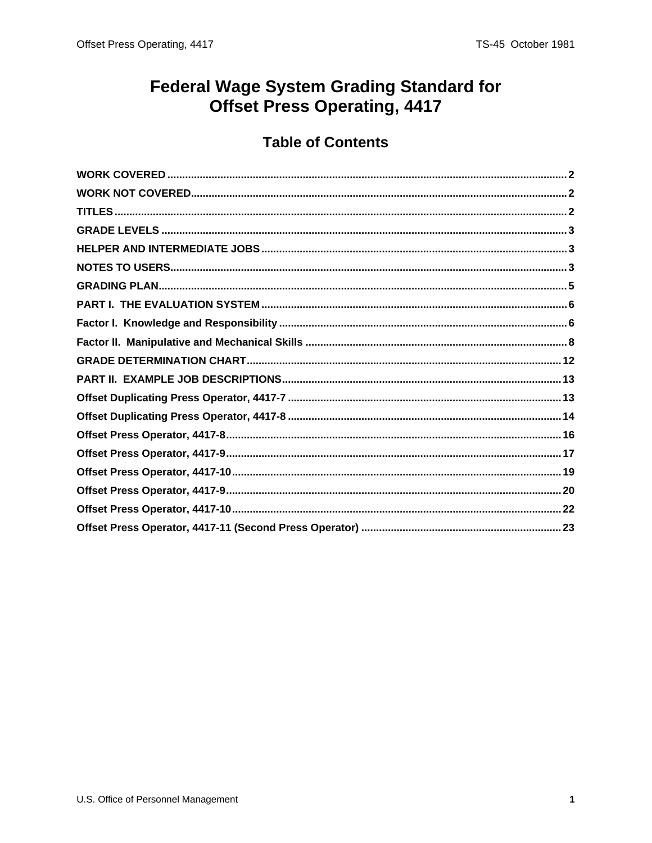# **Federal Wage System Grading Standard for** Offset Press Operating, 4417

# **Table of Contents**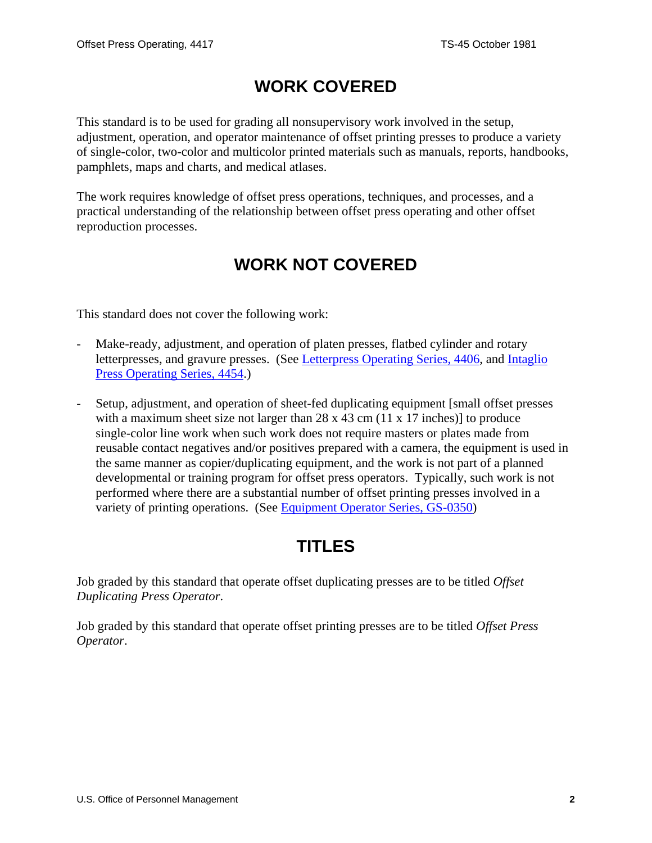# **WORK COVERED**

<span id="page-1-0"></span>This standard is to be used for grading all nonsupervisory work involved in the setup, adjustment, operation, and operator maintenance of offset printing presses to produce a variety of single-color, two-color and multicolor printed materials such as manuals, reports, handbooks, pamphlets, maps and charts, and medical atlases.

The work requires knowledge of offset press operations, techniques, and processes, and a practical understanding of the relationship between offset press operating and other offset reproduction processes.

# **WORK NOT COVERED**

This standard does not cover the following work:

- Make-ready, adjustment, and operation of platen presses, flatbed cylinder and rotary letterpresses, and gravure presses. (See [Letterpress Operating Series, 4406,](/fedclass/gshbkocc.pdf) and [Intaglio](/fedclass/gshbkocc.pdf)  [Press Operating Series, 4454.](/fedclass/gshbkocc.pdf))
- Setup, adjustment, and operation of sheet-fed duplicating equipment [small offset presses with a maximum sheet size not larger than 28 x 43 cm (11 x 17 inches)] to produce single-color line work when such work does not require masters or plates made from reusable contact negatives and/or positives prepared with a camera, the equipment is used in the same manner as copier/duplicating equipment, and the work is not part of a planned developmental or training program for offset press operators. Typically, such work is not performed where there are a substantial number of offset printing presses involved in a variety of printing operations. (See [Equipment Operator Series, GS-0350](/fedclass/gs0350.pdf))

# **TITLES**

Job graded by this standard that operate offset duplicating presses are to be titled *Offset Duplicating Press Operator*.

Job graded by this standard that operate offset printing presses are to be titled *Offset Press Operator*.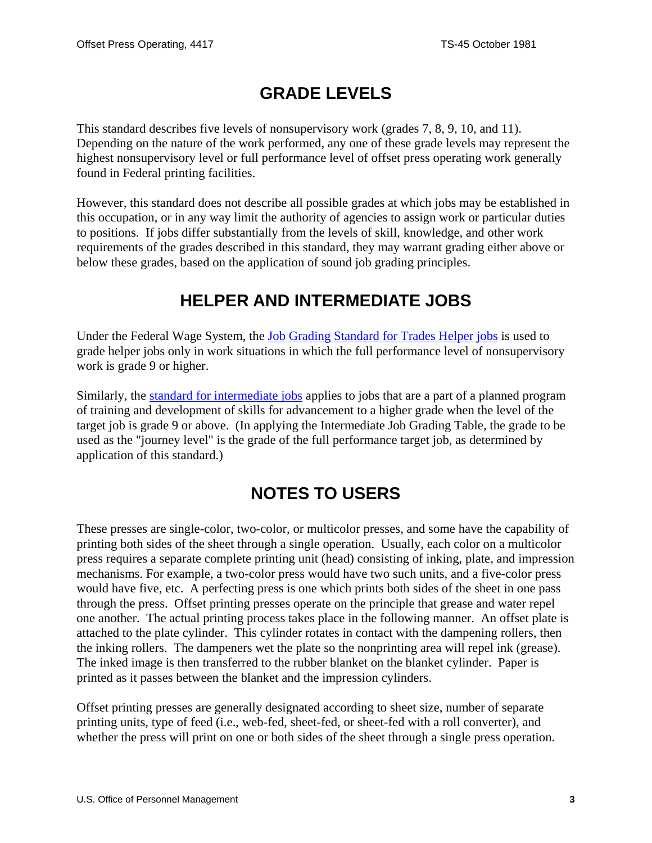# **GRADE LEVELS**

<span id="page-2-0"></span>This standard describes five levels of nonsupervisory work (grades 7, 8, 9, 10, and 11). Depending on the nature of the work performed, any one of these grade levels may represent the highest nonsupervisory level or full performance level of offset press operating work generally found in Federal printing facilities.

However, this standard does not describe all possible grades at which jobs may be established in this occupation, or in any way limit the authority of agencies to assign work or particular duties to positions. If jobs differ substantially from the levels of skill, knowledge, and other work requirements of the grades described in this standard, they may warrant grading either above or below these grades, based on the application of sound job grading principles.

# **HELPER AND INTERMEDIATE JOBS**

Under the Federal Wage System, the [Job Grading Standard for Trades Helper job](/fedclass/fwshelpr.pdf)s is used to grade helper jobs only in work situations in which the full performance level of nonsupervisory work is grade 9 or higher.

Similarly, the [standard for intermediate jobs](/fedclass/fwsintm.pdf) applies to jobs that are a part of a planned program of training and development of skills for advancement to a higher grade when the level of the target job is grade 9 or above. (In applying the Intermediate Job Grading Table, the grade to be used as the "journey level" is the grade of the full performance target job, as determined by application of this standard.)

# **NOTES TO USERS**

These presses are single-color, two-color, or multicolor presses, and some have the capability of printing both sides of the sheet through a single operation. Usually, each color on a multicolor press requires a separate complete printing unit (head) consisting of inking, plate, and impression mechanisms. For example, a two-color press would have two such units, and a five-color press would have five, etc. A perfecting press is one which prints both sides of the sheet in one pass through the press. Offset printing presses operate on the principle that grease and water repel one another. The actual printing process takes place in the following manner. An offset plate is attached to the plate cylinder. This cylinder rotates in contact with the dampening rollers, then the inking rollers. The dampeners wet the plate so the nonprinting area will repel ink (grease). The inked image is then transferred to the rubber blanket on the blanket cylinder. Paper is printed as it passes between the blanket and the impression cylinders.

Offset printing presses are generally designated according to sheet size, number of separate printing units, type of feed (i.e., web-fed, sheet-fed, or sheet-fed with a roll converter), and whether the press will print on one or both sides of the sheet through a single press operation.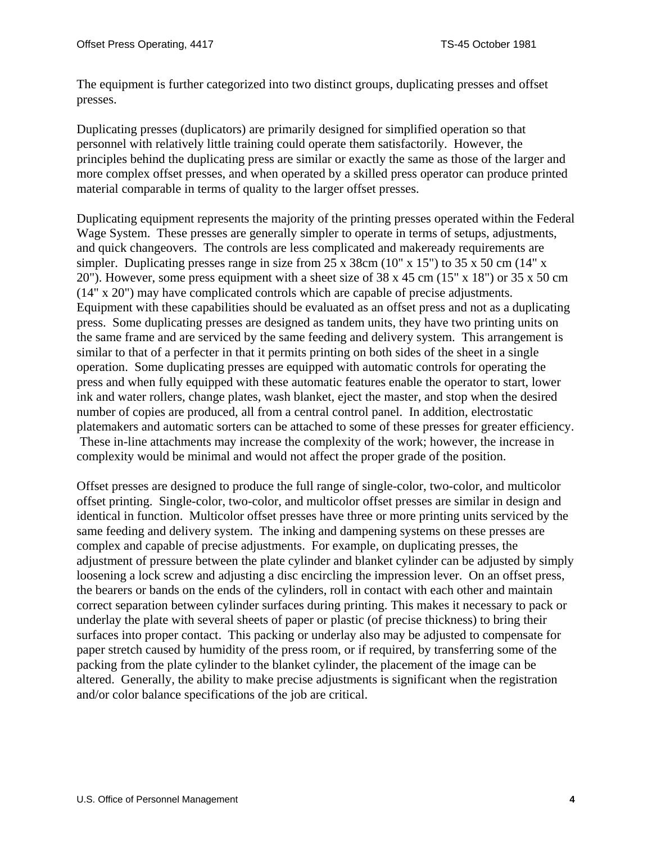The equipment is further categorized into two distinct groups, duplicating presses and offset presses.

Duplicating presses (duplicators) are primarily designed for simplified operation so that personnel with relatively little training could operate them satisfactorily. However, the principles behind the duplicating press are similar or exactly the same as those of the larger and more complex offset presses, and when operated by a skilled press operator can produce printed material comparable in terms of quality to the larger offset presses.

Duplicating equipment represents the majority of the printing presses operated within the Federal Wage System. These presses are generally simpler to operate in terms of setups, adjustments, and quick changeovers. The controls are less complicated and makeready requirements are simpler. Duplicating presses range in size from 25 x 38cm (10" x 15") to 35 x 50 cm (14" x 20"). However, some press equipment with a sheet size of  $38 \times 45$  cm  $(15" \times 18")$  or  $35 \times 50$  cm (14" x 20") may have complicated controls which are capable of precise adjustments. Equipment with these capabilities should be evaluated as an offset press and not as a duplicating press. Some duplicating presses are designed as tandem units, they have two printing units on the same frame and are serviced by the same feeding and delivery system. This arrangement is similar to that of a perfecter in that it permits printing on both sides of the sheet in a single operation. Some duplicating presses are equipped with automatic controls for operating the press and when fully equipped with these automatic features enable the operator to start, lower ink and water rollers, change plates, wash blanket, eject the master, and stop when the desired number of copies are produced, all from a central control panel. In addition, electrostatic platemakers and automatic sorters can be attached to some of these presses for greater efficiency. These in-line attachments may increase the complexity of the work; however, the increase in complexity would be minimal and would not affect the proper grade of the position.

Offset presses are designed to produce the full range of single-color, two-color, and multicolor offset printing. Single-color, two-color, and multicolor offset presses are similar in design and identical in function. Multicolor offset presses have three or more printing units serviced by the same feeding and delivery system. The inking and dampening systems on these presses are complex and capable of precise adjustments. For example, on duplicating presses, the adjustment of pressure between the plate cylinder and blanket cylinder can be adjusted by simply loosening a lock screw and adjusting a disc encircling the impression lever. On an offset press, the bearers or bands on the ends of the cylinders, roll in contact with each other and maintain correct separation between cylinder surfaces during printing. This makes it necessary to pack or underlay the plate with several sheets of paper or plastic (of precise thickness) to bring their surfaces into proper contact. This packing or underlay also may be adjusted to compensate for paper stretch caused by humidity of the press room, or if required, by transferring some of the packing from the plate cylinder to the blanket cylinder, the placement of the image can be altered. Generally, the ability to make precise adjustments is significant when the registration and/or color balance specifications of the job are critical.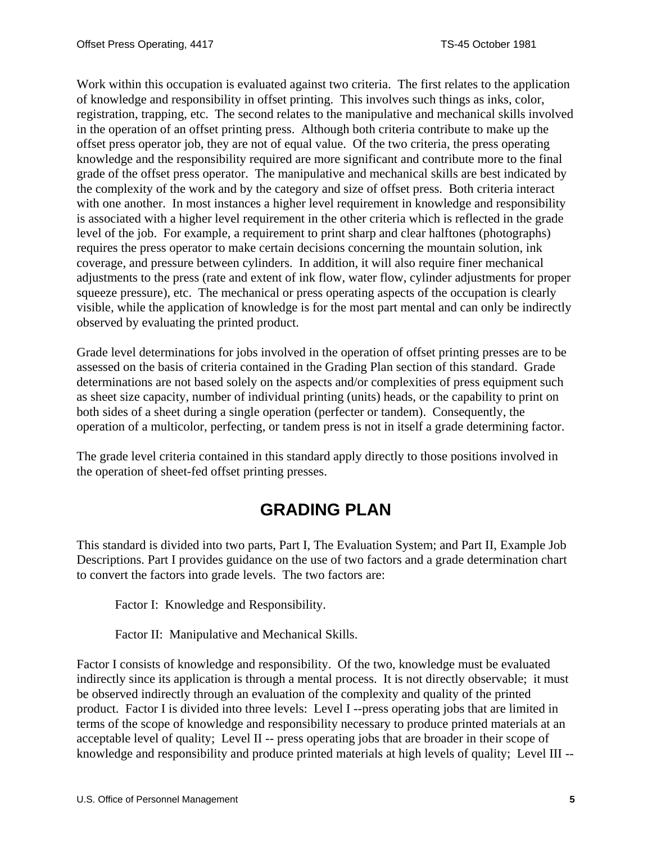<span id="page-4-0"></span>Work within this occupation is evaluated against two criteria. The first relates to the application of knowledge and responsibility in offset printing. This involves such things as inks, color, registration, trapping, etc. The second relates to the manipulative and mechanical skills involved in the operation of an offset printing press. Although both criteria contribute to make up the offset press operator job, they are not of equal value. Of the two criteria, the press operating knowledge and the responsibility required are more significant and contribute more to the final grade of the offset press operator. The manipulative and mechanical skills are best indicated by the complexity of the work and by the category and size of offset press. Both criteria interact with one another. In most instances a higher level requirement in knowledge and responsibility is associated with a higher level requirement in the other criteria which is reflected in the grade level of the job. For example, a requirement to print sharp and clear halftones (photographs) requires the press operator to make certain decisions concerning the mountain solution, ink coverage, and pressure between cylinders. In addition, it will also require finer mechanical adjustments to the press (rate and extent of ink flow, water flow, cylinder adjustments for proper squeeze pressure), etc. The mechanical or press operating aspects of the occupation is clearly visible, while the application of knowledge is for the most part mental and can only be indirectly observed by evaluating the printed product.

Grade level determinations for jobs involved in the operation of offset printing presses are to be assessed on the basis of criteria contained in the Grading Plan section of this standard. Grade determinations are not based solely on the aspects and/or complexities of press equipment such as sheet size capacity, number of individual printing (units) heads, or the capability to print on both sides of a sheet during a single operation (perfecter or tandem). Consequently, the operation of a multicolor, perfecting, or tandem press is not in itself a grade determining factor.

The grade level criteria contained in this standard apply directly to those positions involved in the operation of sheet-fed offset printing presses.

# **GRADING PLAN**

This standard is divided into two parts, Part I, The Evaluation System; and Part II, Example Job Descriptions. Part I provides guidance on the use of two factors and a grade determination chart to convert the factors into grade levels. The two factors are:

Factor I: Knowledge and Responsibility.

Factor II: Manipulative and Mechanical Skills.

Factor I consists of knowledge and responsibility. Of the two, knowledge must be evaluated indirectly since its application is through a mental process. It is not directly observable; it must be observed indirectly through an evaluation of the complexity and quality of the printed product. Factor I is divided into three levels: Level I --press operating jobs that are limited in terms of the scope of knowledge and responsibility necessary to produce printed materials at an acceptable level of quality; Level II -- press operating jobs that are broader in their scope of knowledge and responsibility and produce printed materials at high levels of quality; Level III --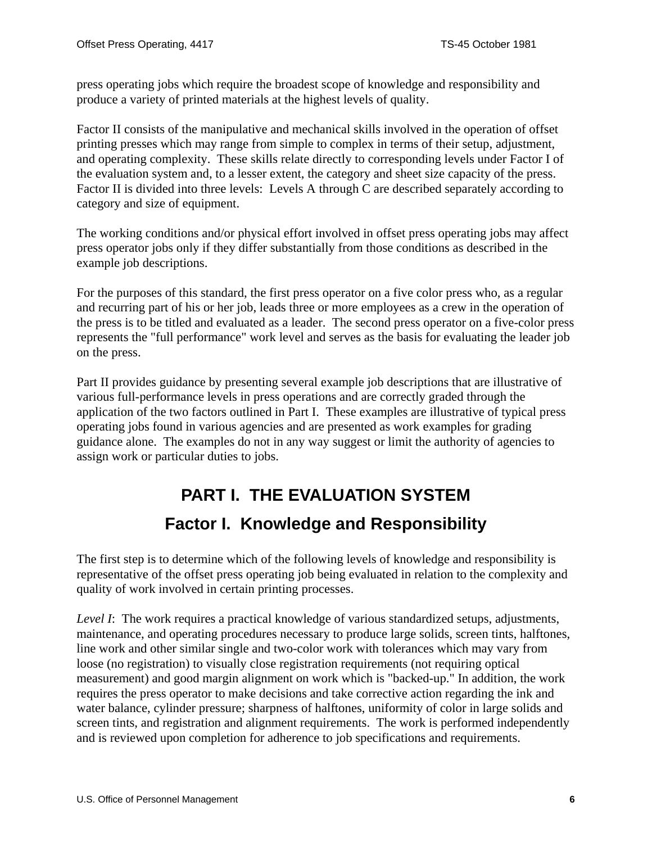<span id="page-5-0"></span>press operating jobs which require the broadest scope of knowledge and responsibility and produce a variety of printed materials at the highest levels of quality.

Factor II consists of the manipulative and mechanical skills involved in the operation of offset printing presses which may range from simple to complex in terms of their setup, adjustment, and operating complexity. These skills relate directly to corresponding levels under Factor I of the evaluation system and, to a lesser extent, the category and sheet size capacity of the press. Factor II is divided into three levels: Levels A through C are described separately according to category and size of equipment.

The working conditions and/or physical effort involved in offset press operating jobs may affect press operator jobs only if they differ substantially from those conditions as described in the example job descriptions.

For the purposes of this standard, the first press operator on a five color press who, as a regular and recurring part of his or her job, leads three or more employees as a crew in the operation of the press is to be titled and evaluated as a leader. The second press operator on a five-color press represents the "full performance" work level and serves as the basis for evaluating the leader job on the press.

Part II provides guidance by presenting several example job descriptions that are illustrative of various full-performance levels in press operations and are correctly graded through the application of the two factors outlined in Part I. These examples are illustrative of typical press operating jobs found in various agencies and are presented as work examples for grading guidance alone. The examples do not in any way suggest or limit the authority of agencies to assign work or particular duties to jobs.

# **PART I. THE EVALUATION SYSTEM Factor I. Knowledge and Responsibility**

The first step is to determine which of the following levels of knowledge and responsibility is representative of the offset press operating job being evaluated in relation to the complexity and quality of work involved in certain printing processes.

*Level I*: The work requires a practical knowledge of various standardized setups, adjustments, maintenance, and operating procedures necessary to produce large solids, screen tints, halftones, line work and other similar single and two-color work with tolerances which may vary from loose (no registration) to visually close registration requirements (not requiring optical measurement) and good margin alignment on work which is "backed-up." In addition, the work requires the press operator to make decisions and take corrective action regarding the ink and water balance, cylinder pressure; sharpness of halftones, uniformity of color in large solids and screen tints, and registration and alignment requirements. The work is performed independently and is reviewed upon completion for adherence to job specifications and requirements.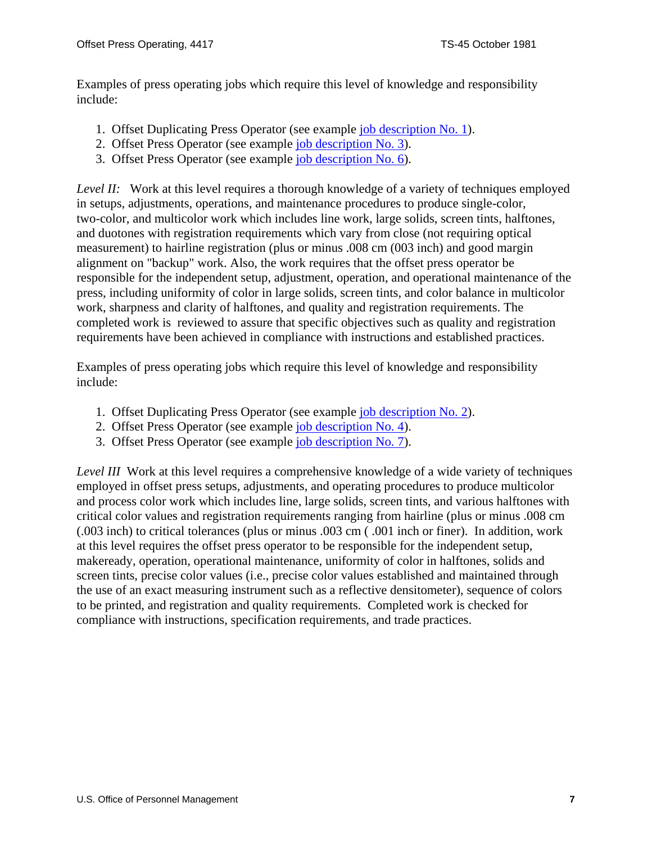Examples of press operating jobs which require this level of knowledge and responsibility include:

- 1. Offset Duplicating Press Operator (see example [job description No. 1](#page-12-0)).
- 2. Offset Press Operator (see example [job description No. 3](#page-15-0)).
- 3. Offset Press Operator (see example [job description No. 6](#page-19-0)).

*Level II:* Work at this level requires a thorough knowledge of a variety of techniques employed in setups, adjustments, operations, and maintenance procedures to produce single-color, two-color, and multicolor work which includes line work, large solids, screen tints, halftones, and duotones with registration requirements which vary from close (not requiring optical measurement) to hairline registration (plus or minus .008 cm (003 inch) and good margin alignment on "backup" work. Also, the work requires that the offset press operator be responsible for the independent setup, adjustment, operation, and operational maintenance of the press, including uniformity of color in large solids, screen tints, and color balance in multicolor work, sharpness and clarity of halftones, and quality and registration requirements. The completed work is reviewed to assure that specific objectives such as quality and registration requirements have been achieved in compliance with instructions and established practices.

Examples of press operating jobs which require this level of knowledge and responsibility include:

- 1. Offset Duplicating Press Operator (see example [job description No. 2](#page-13-0)).
- 2. Offset Press Operator (see example [job description No. 4](#page-16-0)).
- 3. Offset Press Operator (see example [job description No. 7](#page-21-0)).

*Level III* Work at this level requires a comprehensive knowledge of a wide variety of techniques employed in offset press setups, adjustments, and operating procedures to produce multicolor and process color work which includes line, large solids, screen tints, and various halftones with critical color values and registration requirements ranging from hairline (plus or minus .008 cm (.003 inch) to critical tolerances (plus or minus .003 cm ( .001 inch or finer). In addition, work at this level requires the offset press operator to be responsible for the independent setup, makeready, operation, operational maintenance, uniformity of color in halftones, solids and screen tints, precise color values (i.e., precise color values established and maintained through the use of an exact measuring instrument such as a reflective densitometer), sequence of colors to be printed, and registration and quality requirements. Completed work is checked for compliance with instructions, specification requirements, and trade practices.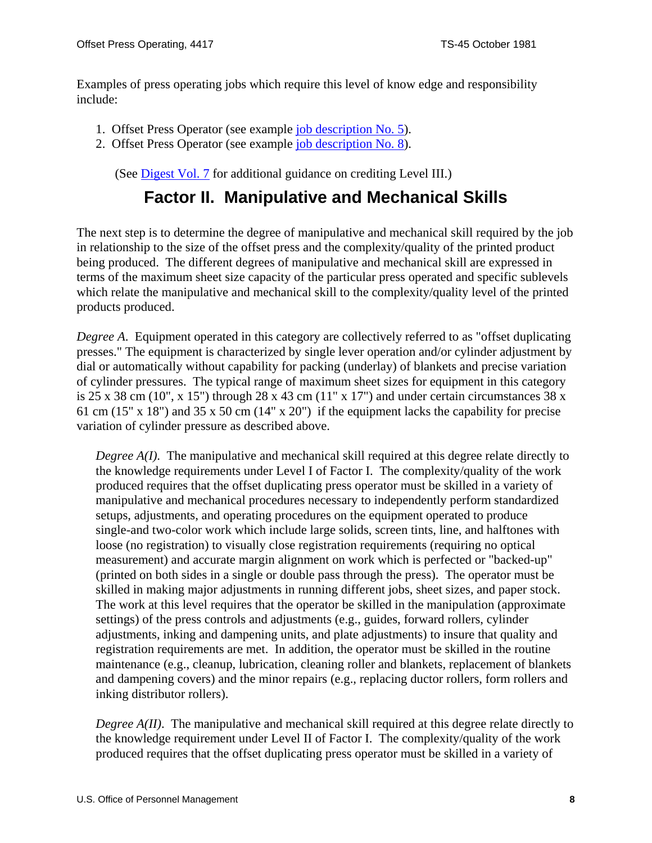<span id="page-7-0"></span>Examples of press operating jobs which require this level of know edge and responsibility include:

- 1. Offset Press Operator (see example [job description No. 5](#page-18-0)).
- 2. Offset Press Operator (see example [job description No. 8](#page-22-0)).

(See [Digest Vol. 7](http://www.opm.gov/classapp/digests/digest07.pdf) for additional guidance on crediting Level III.)

# **Factor II. Manipulative and Mechanical Skills**

The next step is to determine the degree of manipulative and mechanical skill required by the job in relationship to the size of the offset press and the complexity/quality of the printed product being produced. The different degrees of manipulative and mechanical skill are expressed in terms of the maximum sheet size capacity of the particular press operated and specific sublevels which relate the manipulative and mechanical skill to the complexity/quality level of the printed products produced.

*Degree A.* Equipment operated in this category are collectively referred to as "offset duplicating" presses." The equipment is characterized by single lever operation and/or cylinder adjustment by dial or automatically without capability for packing (underlay) of blankets and precise variation of cylinder pressures. The typical range of maximum sheet sizes for equipment in this category is 25 x 38 cm (10", x 15") through 28 x 43 cm (11" x 17") and under certain circumstances 38 x 61 cm (15" x 18") and 35 x 50 cm (14" x 20") if the equipment lacks the capability for precise variation of cylinder pressure as described above.

*Degree A(I)*. The manipulative and mechanical skill required at this degree relate directly to the knowledge requirements under Level I of Factor I. The complexity/quality of the work produced requires that the offset duplicating press operator must be skilled in a variety of manipulative and mechanical procedures necessary to independently perform standardized setups, adjustments, and operating procedures on the equipment operated to produce single-and two-color work which include large solids, screen tints, line, and halftones with loose (no registration) to visually close registration requirements (requiring no optical measurement) and accurate margin alignment on work which is perfected or "backed-up" (printed on both sides in a single or double pass through the press). The operator must be skilled in making major adjustments in running different jobs, sheet sizes, and paper stock. The work at this level requires that the operator be skilled in the manipulation (approximate settings) of the press controls and adjustments (e.g., guides, forward rollers, cylinder adjustments, inking and dampening units, and plate adjustments) to insure that quality and registration requirements are met. In addition, the operator must be skilled in the routine maintenance (e.g., cleanup, lubrication, cleaning roller and blankets, replacement of blankets and dampening covers) and the minor repairs (e.g., replacing ductor rollers, form rollers and inking distributor rollers).

*Degree A(II)*. The manipulative and mechanical skill required at this degree relate directly to the knowledge requirement under Level II of Factor I. The complexity/quality of the work produced requires that the offset duplicating press operator must be skilled in a variety of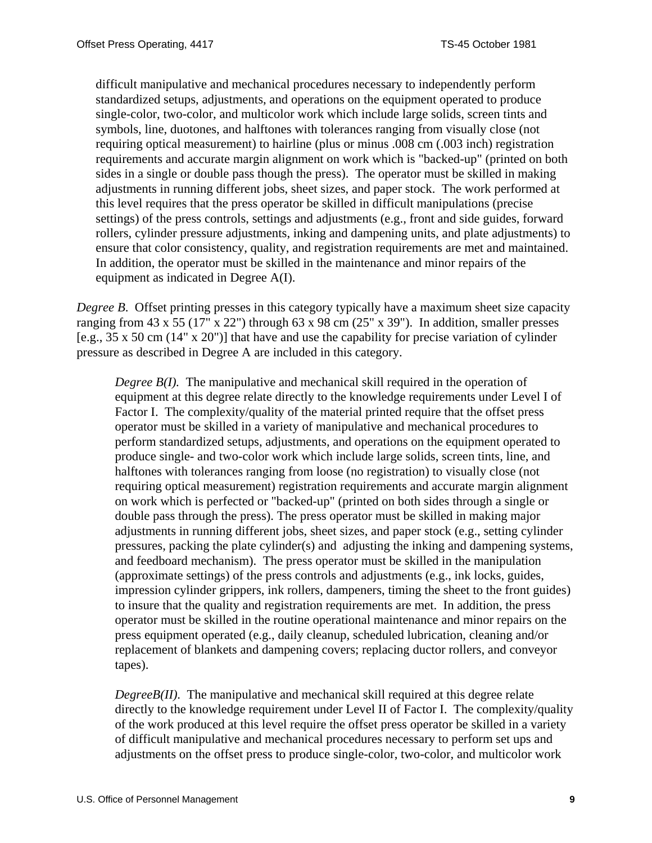difficult manipulative and mechanical procedures necessary to independently perform standardized setups, adjustments, and operations on the equipment operated to produce single-color, two-color, and multicolor work which include large solids, screen tints and symbols, line, duotones, and halftones with tolerances ranging from visually close (not requiring optical measurement) to hairline (plus or minus .008 cm (.003 inch) registration requirements and accurate margin alignment on work which is "backed-up" (printed on both sides in a single or double pass though the press). The operator must be skilled in making adjustments in running different jobs, sheet sizes, and paper stock. The work performed at this level requires that the press operator be skilled in difficult manipulations (precise settings) of the press controls, settings and adjustments (e.g., front and side guides, forward rollers, cylinder pressure adjustments, inking and dampening units, and plate adjustments) to ensure that color consistency, quality, and registration requirements are met and maintained. In addition, the operator must be skilled in the maintenance and minor repairs of the equipment as indicated in Degree A(I).

*Degree B.* Offset printing presses in this category typically have a maximum sheet size capacity ranging from 43 x 55 (17" x 22") through 63 x 98 cm (25" x 39"). In addition, smaller presses [e.g., 35 x 50 cm (14" x 20")] that have and use the capability for precise variation of cylinder pressure as described in Degree A are included in this category.

*Degree B(I).* The manipulative and mechanical skill required in the operation of equipment at this degree relate directly to the knowledge requirements under Level I of Factor I. The complexity/quality of the material printed require that the offset press operator must be skilled in a variety of manipulative and mechanical procedures to perform standardized setups, adjustments, and operations on the equipment operated to produce single- and two-color work which include large solids, screen tints, line, and halftones with tolerances ranging from loose (no registration) to visually close (not requiring optical measurement) registration requirements and accurate margin alignment on work which is perfected or "backed-up" (printed on both sides through a single or double pass through the press). The press operator must be skilled in making major adjustments in running different jobs, sheet sizes, and paper stock (e.g., setting cylinder pressures, packing the plate cylinder(s) and adjusting the inking and dampening systems, and feedboard mechanism). The press operator must be skilled in the manipulation (approximate settings) of the press controls and adjustments (e.g., ink locks, guides, impression cylinder grippers, ink rollers, dampeners, timing the sheet to the front guides) to insure that the quality and registration requirements are met. In addition, the press operator must be skilled in the routine operational maintenance and minor repairs on the press equipment operated (e.g., daily cleanup, scheduled lubrication, cleaning and/or replacement of blankets and dampening covers; replacing ductor rollers, and conveyor tapes).

*DegreeB(II)*. The manipulative and mechanical skill required at this degree relate directly to the knowledge requirement under Level II of Factor I. The complexity/quality of the work produced at this level require the offset press operator be skilled in a variety of difficult manipulative and mechanical procedures necessary to perform set ups and adjustments on the offset press to produce single-color, two-color, and multicolor work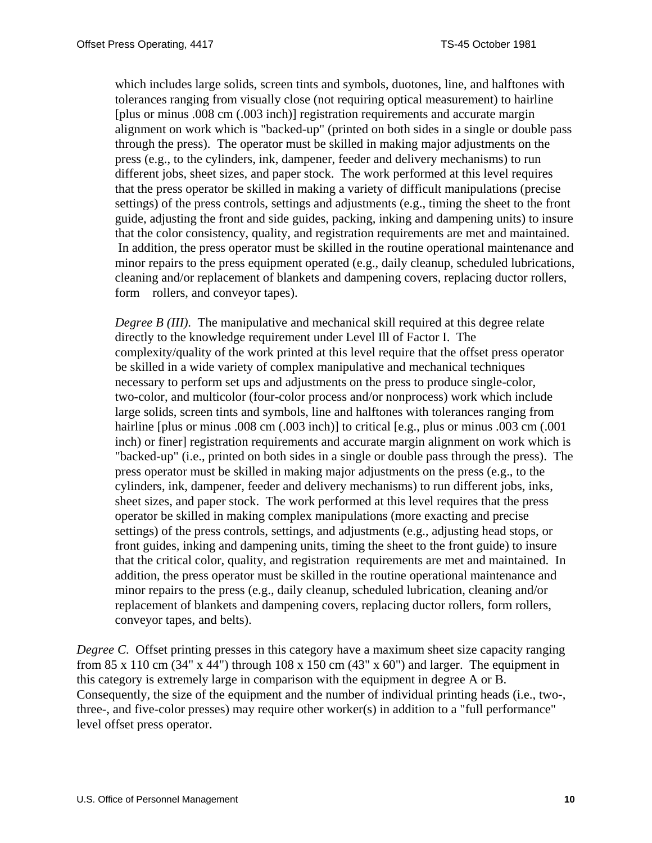which includes large solids, screen tints and symbols, duotones, line, and halftones with tolerances ranging from visually close (not requiring optical measurement) to hairline [plus or minus .008 cm (.003 inch)] registration requirements and accurate margin alignment on work which is "backed-up" (printed on both sides in a single or double pass through the press). The operator must be skilled in making major adjustments on the press (e.g., to the cylinders, ink, dampener, feeder and delivery mechanisms) to run different jobs, sheet sizes, and paper stock. The work performed at this level requires that the press operator be skilled in making a variety of difficult manipulations (precise settings) of the press controls, settings and adjustments (e.g., timing the sheet to the front guide, adjusting the front and side guides, packing, inking and dampening units) to insure that the color consistency, quality, and registration requirements are met and maintained. In addition, the press operator must be skilled in the routine operational maintenance and minor repairs to the press equipment operated (e.g., daily cleanup, scheduled lubrications, cleaning and/or replacement of blankets and dampening covers, replacing ductor rollers, form rollers, and conveyor tapes).

*Degree B (III)*. The manipulative and mechanical skill required at this degree relate directly to the knowledge requirement under Level Ill of Factor I. The complexity/quality of the work printed at this level require that the offset press operator be skilled in a wide variety of complex manipulative and mechanical techniques necessary to perform set ups and adjustments on the press to produce single-color, two-color, and multicolor (four-color process and/or nonprocess) work which include large solids, screen tints and symbols, line and halftones with tolerances ranging from hairline [plus or minus .008 cm (.003 inch)] to critical [e.g., plus or minus .003 cm (.001 inch) or finer] registration requirements and accurate margin alignment on work which is "backed-up" (i.e., printed on both sides in a single or double pass through the press). The press operator must be skilled in making major adjustments on the press (e.g., to the cylinders, ink, dampener, feeder and delivery mechanisms) to run different jobs, inks, sheet sizes, and paper stock. The work performed at this level requires that the press operator be skilled in making complex manipulations (more exacting and precise settings) of the press controls, settings, and adjustments (e.g., adjusting head stops, or front guides, inking and dampening units, timing the sheet to the front guide) to insure that the critical color, quality, and registration requirements are met and maintained. In addition, the press operator must be skilled in the routine operational maintenance and minor repairs to the press (e.g., daily cleanup, scheduled lubrication, cleaning and/or replacement of blankets and dampening covers, replacing ductor rollers, form rollers, conveyor tapes, and belts).

*Degree C*. Offset printing presses in this category have a maximum sheet size capacity ranging from 85 x 110 cm (34" x 44") through 108 x 150 cm (43" x 60") and larger. The equipment in this category is extremely large in comparison with the equipment in degree A or B. Consequently, the size of the equipment and the number of individual printing heads (i.e., two-, three-, and five-color presses) may require other worker(s) in addition to a "full performance" level offset press operator.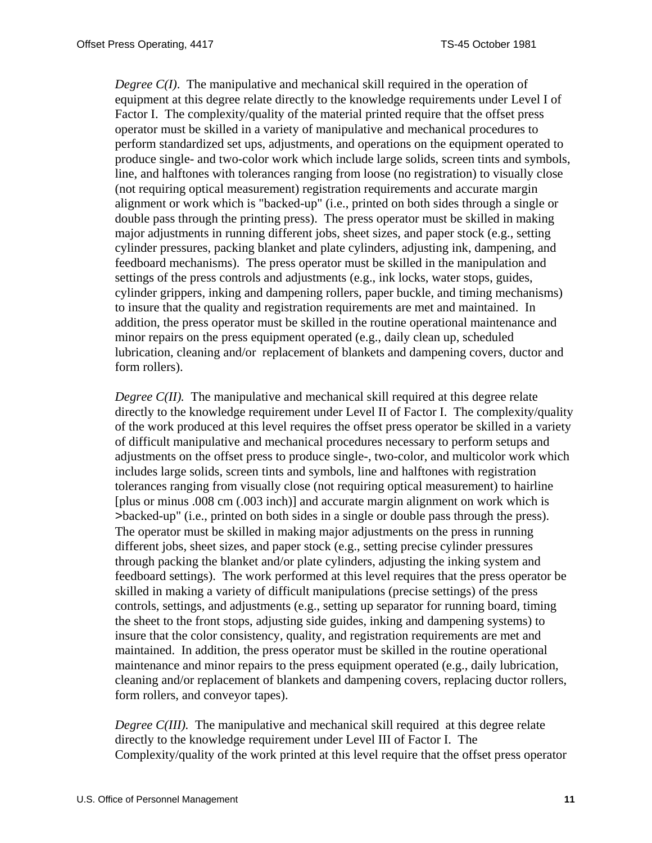*Degree C(I)*. The manipulative and mechanical skill required in the operation of equipment at this degree relate directly to the knowledge requirements under Level I of Factor I. The complexity/quality of the material printed require that the offset press operator must be skilled in a variety of manipulative and mechanical procedures to perform standardized set ups, adjustments, and operations on the equipment operated to produce single- and two-color work which include large solids, screen tints and symbols, line, and halftones with tolerances ranging from loose (no registration) to visually close (not requiring optical measurement) registration requirements and accurate margin alignment or work which is "backed-up" (i.e., printed on both sides through a single or double pass through the printing press). The press operator must be skilled in making major adjustments in running different jobs, sheet sizes, and paper stock (e.g., setting cylinder pressures, packing blanket and plate cylinders, adjusting ink, dampening, and feedboard mechanisms). The press operator must be skilled in the manipulation and settings of the press controls and adjustments (e.g., ink locks, water stops, guides, cylinder grippers, inking and dampening rollers, paper buckle, and timing mechanisms) to insure that the quality and registration requirements are met and maintained. In addition, the press operator must be skilled in the routine operational maintenance and minor repairs on the press equipment operated (e.g., daily clean up, scheduled lubrication, cleaning and/or replacement of blankets and dampening covers, ductor and form rollers).

*Degree C(II).* The manipulative and mechanical skill required at this degree relate directly to the knowledge requirement under Level II of Factor I. The complexity/quality of the work produced at this level requires the offset press operator be skilled in a variety of difficult manipulative and mechanical procedures necessary to perform setups and adjustments on the offset press to produce single-, two-color, and multicolor work which includes large solids, screen tints and symbols, line and halftones with registration tolerances ranging from visually close (not requiring optical measurement) to hairline [plus or minus .008 cm (.003 inch)] and accurate margin alignment on work which is >backed-up" (i.e., printed on both sides in a single or double pass through the press). The operator must be skilled in making major adjustments on the press in running different jobs, sheet sizes, and paper stock (e.g., setting precise cylinder pressures through packing the blanket and/or plate cylinders, adjusting the inking system and feedboard settings). The work performed at this level requires that the press operator be skilled in making a variety of difficult manipulations (precise settings) of the press controls, settings, and adjustments (e.g., setting up separator for running board, timing the sheet to the front stops, adjusting side guides, inking and dampening systems) to insure that the color consistency, quality, and registration requirements are met and maintained. In addition, the press operator must be skilled in the routine operational maintenance and minor repairs to the press equipment operated (e.g., daily lubrication, cleaning and/or replacement of blankets and dampening covers, replacing ductor rollers, form rollers, and conveyor tapes).

*Degree C(III).* The manipulative and mechanical skill required at this degree relate directly to the knowledge requirement under Level III of Factor I. The Complexity/quality of the work printed at this level require that the offset press operator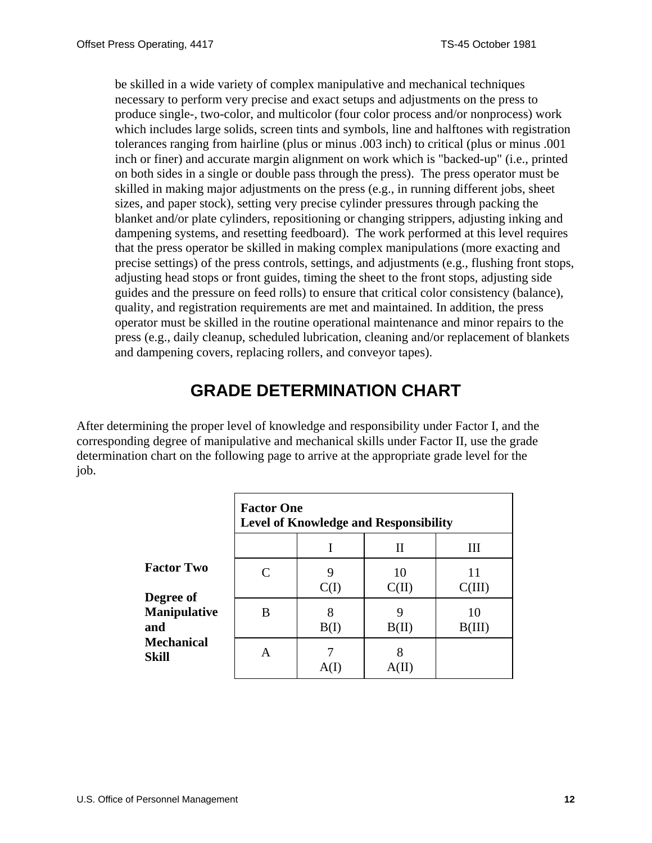<span id="page-11-0"></span>be skilled in a wide variety of complex manipulative and mechanical techniques necessary to perform very precise and exact setups and adjustments on the press to produce single-, two-color, and multicolor (four color process and/or nonprocess) work which includes large solids, screen tints and symbols, line and halftones with registration tolerances ranging from hairline (plus or minus .003 inch) to critical (plus or minus .001 inch or finer) and accurate margin alignment on work which is "backed-up" (i.e., printed on both sides in a single or double pass through the press). The press operator must be skilled in making major adjustments on the press (e.g., in running different jobs, sheet sizes, and paper stock), setting very precise cylinder pressures through packing the blanket and/or plate cylinders, repositioning or changing strippers, adjusting inking and dampening systems, and resetting feedboard). The work performed at this level requires that the press operator be skilled in making complex manipulations (more exacting and precise settings) of the press controls, settings, and adjustments (e.g., flushing front stops, adjusting head stops or front guides, timing the sheet to the front stops, adjusting side guides and the pressure on feed rolls) to ensure that critical color consistency (balance), quality, and registration requirements are met and maintained. In addition, the press operator must be skilled in the routine operational maintenance and minor repairs to the press (e.g., daily cleanup, scheduled lubrication, cleaning and/or replacement of blankets and dampening covers, replacing rollers, and conveyor tapes).

# **GRADE DETERMINATION CHART**

After determining the proper level of knowledge and responsibility under Factor I, and the corresponding degree of manipulative and mechanical skills under Factor II, use the grade determination chart on the following page to arrive at the appropriate grade level for the job.

|                                                | <b>Factor One</b><br><b>Level of Knowledge and Responsibility</b> |           |             |              |
|------------------------------------------------|-------------------------------------------------------------------|-----------|-------------|--------------|
|                                                |                                                                   |           | П           | Ш            |
| <b>Factor Two</b>                              | $\mathsf{C}$                                                      | 9<br>C(I) | 10<br>C(II) | 11<br>C(III) |
| <b>Degree of</b><br><b>Manipulative</b><br>and | B                                                                 | 8<br>B(I) | 9<br>B(II)  | 10<br>B(III) |
| <b>Mechanical</b><br>Skill                     | A                                                                 | A(1)      | A(II        |              |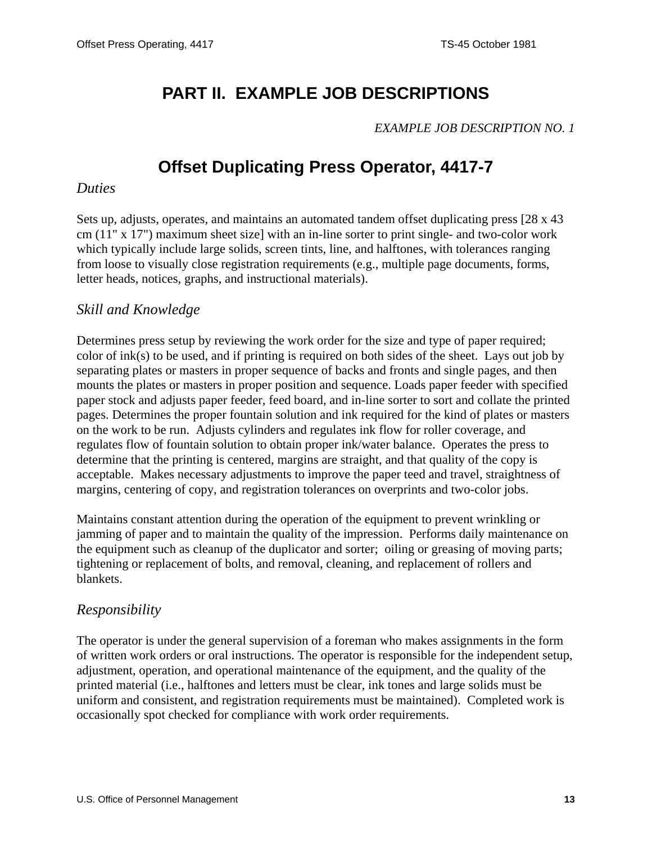# <span id="page-12-0"></span>**PART II. EXAMPLE JOB DESCRIPTIONS**

#### *EXAMPLE JOB DESCRIPTION NO. 1*

# **Offset Duplicating Press Operator, 4417-7**

#### *Duties*

Sets up, adjusts, operates, and maintains an automated tandem offset duplicating press [28 x 43 cm (11" x 17") maximum sheet size] with an in-line sorter to print single- and two-color work which typically include large solids, screen tints, line, and halftones, with tolerances ranging from loose to visually close registration requirements (e.g., multiple page documents, forms, letter heads, notices, graphs, and instructional materials).

#### *Skill and Knowledge*

Determines press setup by reviewing the work order for the size and type of paper required; color of ink(s) to be used, and if printing is required on both sides of the sheet. Lays out job by separating plates or masters in proper sequence of backs and fronts and single pages, and then mounts the plates or masters in proper position and sequence. Loads paper feeder with specified paper stock and adjusts paper feeder, feed board, and in-line sorter to sort and collate the printed pages. Determines the proper fountain solution and ink required for the kind of plates or masters on the work to be run. Adjusts cylinders and regulates ink flow for roller coverage, and regulates flow of fountain solution to obtain proper ink/water balance. Operates the press to determine that the printing is centered, margins are straight, and that quality of the copy is acceptable. Makes necessary adjustments to improve the paper teed and travel, straightness of margins, centering of copy, and registration tolerances on overprints and two-color jobs.

Maintains constant attention during the operation of the equipment to prevent wrinkling or jamming of paper and to maintain the quality of the impression. Performs daily maintenance on the equipment such as cleanup of the duplicator and sorter; oiling or greasing of moving parts; tightening or replacement of bolts, and removal, cleaning, and replacement of rollers and blankets.

#### *Responsibility*

The operator is under the general supervision of a foreman who makes assignments in the form of written work orders or oral instructions. The operator is responsible for the independent setup, adjustment, operation, and operational maintenance of the equipment, and the quality of the printed material (i.e., halftones and letters must be clear, ink tones and large solids must be uniform and consistent, and registration requirements must be maintained). Completed work is occasionally spot checked for compliance with work order requirements.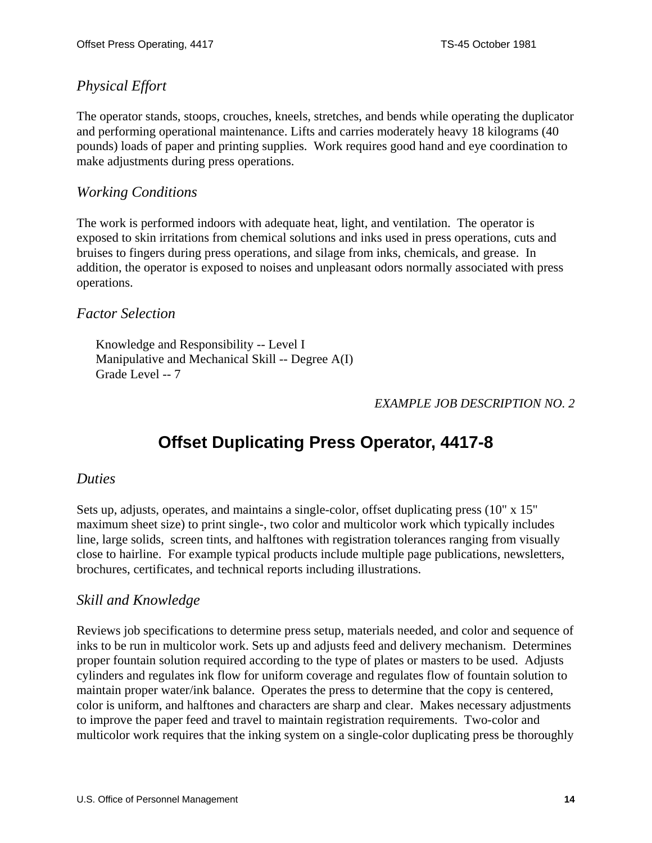# <span id="page-13-0"></span>*Physical Effort*

The operator stands, stoops, crouches, kneels, stretches, and bends while operating the duplicator and performing operational maintenance. Lifts and carries moderately heavy 18 kilograms (40 pounds) loads of paper and printing supplies. Work requires good hand and eye coordination to make adjustments during press operations.

### *Working Conditions*

The work is performed indoors with adequate heat, light, and ventilation. The operator is exposed to skin irritations from chemical solutions and inks used in press operations, cuts and bruises to fingers during press operations, and silage from inks, chemicals, and grease. In addition, the operator is exposed to noises and unpleasant odors normally associated with press operations.

#### *Factor Selection*

Knowledge and Responsibility -- Level I Manipulative and Mechanical Skill -- Degree A(I) Grade Level -- 7

#### *EXAMPLE JOB DESCRIPTION NO. 2*

# **Offset Duplicating Press Operator, 4417-8**

#### *Duties*

Sets up, adjusts, operates, and maintains a single-color, offset duplicating press (10" x 15" maximum sheet size) to print single-, two color and multicolor work which typically includes line, large solids, screen tints, and halftones with registration tolerances ranging from visually close to hairline. For example typical products include multiple page publications, newsletters, brochures, certificates, and technical reports including illustrations.

#### *Skill and Knowledge*

Reviews job specifications to determine press setup, materials needed, and color and sequence of inks to be run in multicolor work. Sets up and adjusts feed and delivery mechanism. Determines proper fountain solution required according to the type of plates or masters to be used. Adjusts cylinders and regulates ink flow for uniform coverage and regulates flow of fountain solution to maintain proper water/ink balance. Operates the press to determine that the copy is centered, color is uniform, and halftones and characters are sharp and clear. Makes necessary adjustments to improve the paper feed and travel to maintain registration requirements. Two-color and multicolor work requires that the inking system on a single-color duplicating press be thoroughly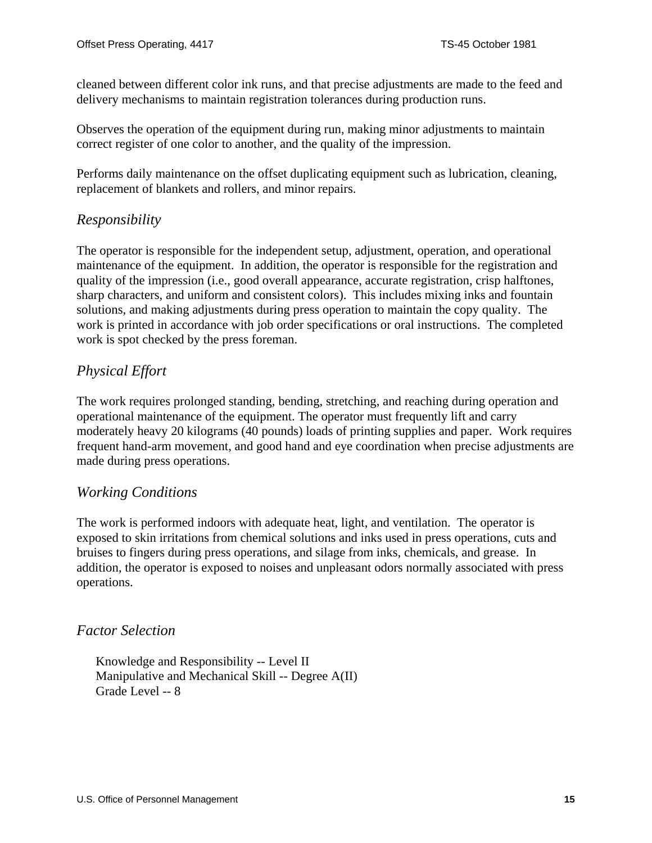cleaned between different color ink runs, and that precise adjustments are made to the feed and delivery mechanisms to maintain registration tolerances during production runs.

Observes the operation of the equipment during run, making minor adjustments to maintain correct register of one color to another, and the quality of the impression.

Performs daily maintenance on the offset duplicating equipment such as lubrication, cleaning, replacement of blankets and rollers, and minor repairs.

### *Responsibility*

The operator is responsible for the independent setup, adjustment, operation, and operational maintenance of the equipment. In addition, the operator is responsible for the registration and quality of the impression (i.e., good overall appearance, accurate registration, crisp halftones, sharp characters, and uniform and consistent colors). This includes mixing inks and fountain solutions, and making adjustments during press operation to maintain the copy quality. The work is printed in accordance with job order specifications or oral instructions. The completed work is spot checked by the press foreman.

# *Physical Effort*

The work requires prolonged standing, bending, stretching, and reaching during operation and operational maintenance of the equipment. The operator must frequently lift and carry moderately heavy 20 kilograms (40 pounds) loads of printing supplies and paper. Work requires frequent hand-arm movement, and good hand and eye coordination when precise adjustments are made during press operations.

### *Working Conditions*

The work is performed indoors with adequate heat, light, and ventilation. The operator is exposed to skin irritations from chemical solutions and inks used in press operations, cuts and bruises to fingers during press operations, and silage from inks, chemicals, and grease. In addition, the operator is exposed to noises and unpleasant odors normally associated with press operations.

#### *Factor Selection*

Knowledge and Responsibility -- Level II Manipulative and Mechanical Skill -- Degree A(II) Grade Level -- 8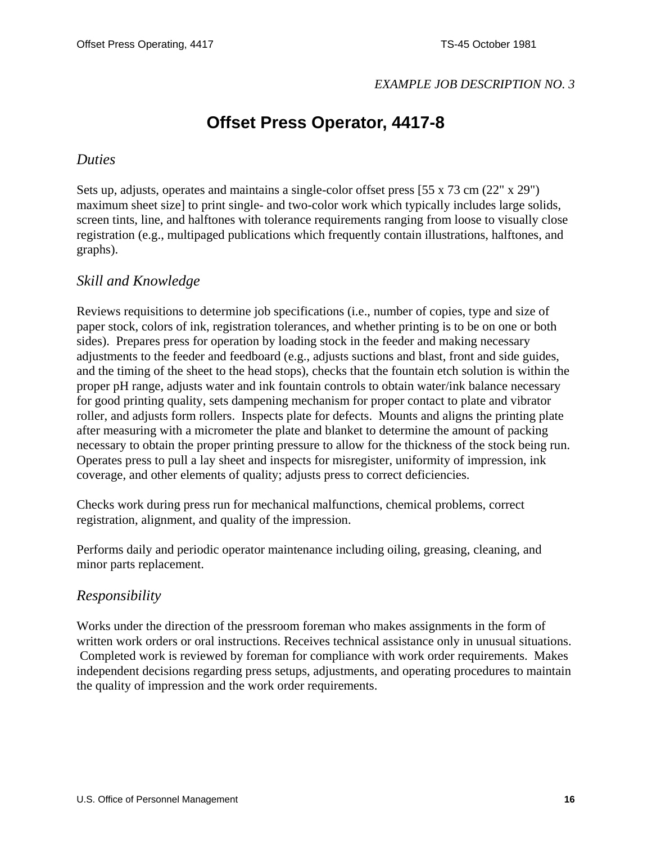#### *EXAMPLE JOB DESCRIPTION NO. 3*

# **Offset Press Operator, 4417-8**

#### <span id="page-15-0"></span>*Duties*

Sets up, adjusts, operates and maintains a single-color offset press  $[55 \times 73 \text{ cm } (22 \text{''} \times 29 \text{''})]$ maximum sheet size] to print single- and two-color work which typically includes large solids, screen tints, line, and halftones with tolerance requirements ranging from loose to visually close registration (e.g., multipaged publications which frequently contain illustrations, halftones, and graphs).

#### *Skill and Knowledge*

Reviews requisitions to determine job specifications (i.e., number of copies, type and size of paper stock, colors of ink, registration tolerances, and whether printing is to be on one or both sides). Prepares press for operation by loading stock in the feeder and making necessary adjustments to the feeder and feedboard (e.g., adjusts suctions and blast, front and side guides, and the timing of the sheet to the head stops), checks that the fountain etch solution is within the proper pH range, adjusts water and ink fountain controls to obtain water/ink balance necessary for good printing quality, sets dampening mechanism for proper contact to plate and vibrator roller, and adjusts form rollers. Inspects plate for defects. Mounts and aligns the printing plate after measuring with a micrometer the plate and blanket to determine the amount of packing necessary to obtain the proper printing pressure to allow for the thickness of the stock being run. Operates press to pull a lay sheet and inspects for misregister, uniformity of impression, ink coverage, and other elements of quality; adjusts press to correct deficiencies.

Checks work during press run for mechanical malfunctions, chemical problems, correct registration, alignment, and quality of the impression.

Performs daily and periodic operator maintenance including oiling, greasing, cleaning, and minor parts replacement.

#### *Responsibility*

Works under the direction of the pressroom foreman who makes assignments in the form of written work orders or oral instructions. Receives technical assistance only in unusual situations. Completed work is reviewed by foreman for compliance with work order requirements. Makes independent decisions regarding press setups, adjustments, and operating procedures to maintain the quality of impression and the work order requirements.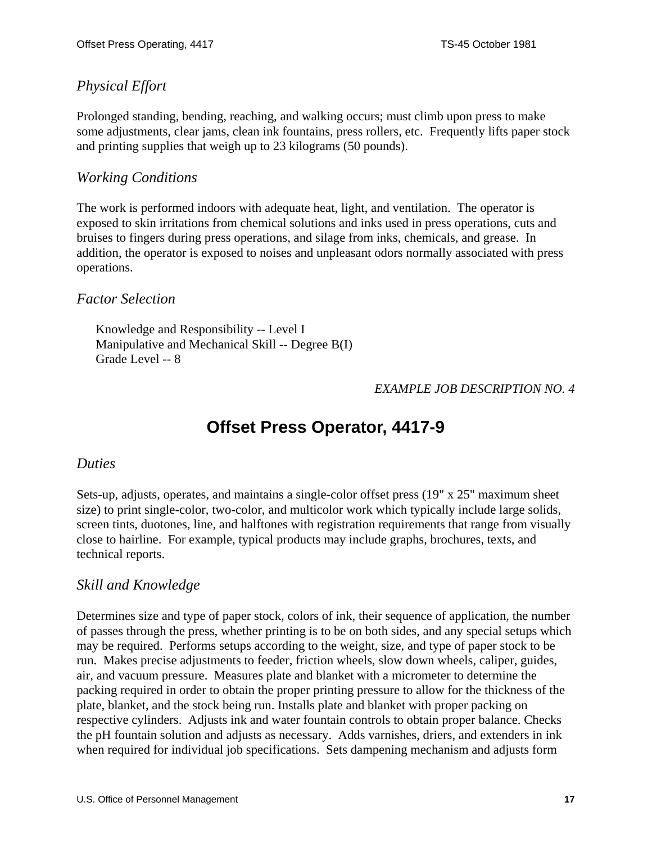# <span id="page-16-0"></span>*Physical Effort*

Prolonged standing, bending, reaching, and walking occurs; must climb upon press to make some adjustments, clear jams, clean ink fountains, press rollers, etc. Frequently lifts paper stock and printing supplies that weigh up to 23 kilograms (50 pounds).

### *Working Conditions*

The work is performed indoors with adequate heat, light, and ventilation. The operator is exposed to skin irritations from chemical solutions and inks used in press operations, cuts and bruises to fingers during press operations, and silage from inks, chemicals, and grease. In addition, the operator is exposed to noises and unpleasant odors normally associated with press operations.

### *Factor Selection*

Knowledge and Responsibility -- Level I Manipulative and Mechanical Skill -- Degree B(I) Grade Level -- 8

### *EXAMPLE JOB DESCRIPTION NO. 4*

# **Offset Press Operator, 4417-9**

#### *Duties*

Sets-up, adjusts, operates, and maintains a single-color offset press (19" x 25" maximum sheet size) to print single-color, two-color, and multicolor work which typically include large solids, screen tints, duotones, line, and halftones with registration requirements that range from visually close to hairline. For example, typical products may include graphs, brochures, texts, and technical reports.

### *Skill and Knowledge*

Determines size and type of paper stock, colors of ink, their sequence of application, the number of passes through the press, whether printing is to be on both sides, and any special setups which may be required. Performs setups according to the weight, size, and type of paper stock to be run. Makes precise adjustments to feeder, friction wheels, slow down wheels, caliper, guides, air, and vacuum pressure. Measures plate and blanket with a micrometer to determine the packing required in order to obtain the proper printing pressure to allow for the thickness of the plate, blanket, and the stock being run. Installs plate and blanket with proper packing on respective cylinders. Adjusts ink and water fountain controls to obtain proper balance. Checks the pH fountain solution and adjusts as necessary. Adds varnishes, driers, and extenders in ink when required for individual job specifications. Sets dampening mechanism and adjusts form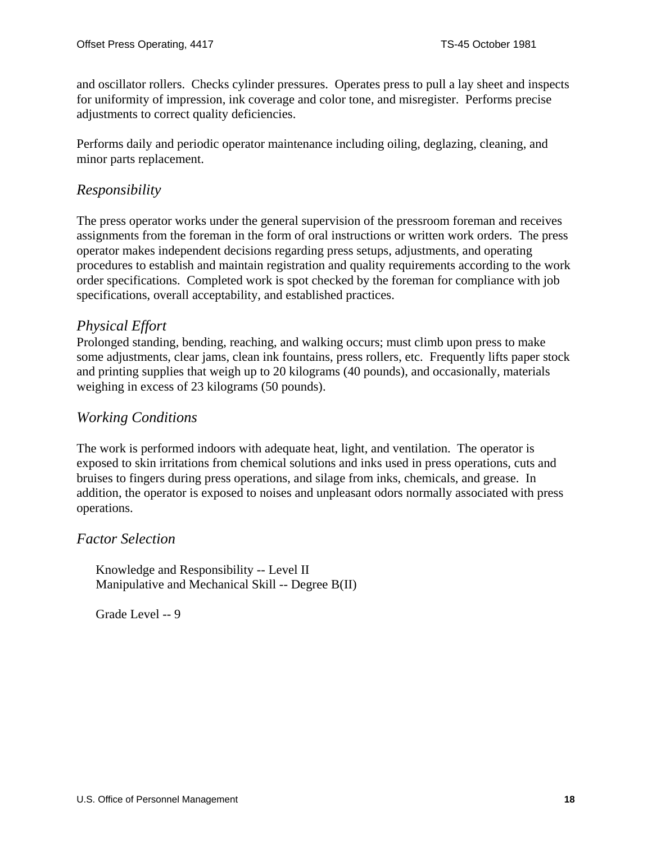and oscillator rollers. Checks cylinder pressures. Operates press to pull a lay sheet and inspects for uniformity of impression, ink coverage and color tone, and misregister. Performs precise adjustments to correct quality deficiencies.

Performs daily and periodic operator maintenance including oiling, deglazing, cleaning, and minor parts replacement.

# *Responsibility*

The press operator works under the general supervision of the pressroom foreman and receives assignments from the foreman in the form of oral instructions or written work orders. The press operator makes independent decisions regarding press setups, adjustments, and operating procedures to establish and maintain registration and quality requirements according to the work order specifications. Completed work is spot checked by the foreman for compliance with job specifications, overall acceptability, and established practices.

### *Physical Effort*

Prolonged standing, bending, reaching, and walking occurs; must climb upon press to make some adjustments, clear jams, clean ink fountains, press rollers, etc. Frequently lifts paper stock and printing supplies that weigh up to 20 kilograms (40 pounds), and occasionally, materials weighing in excess of 23 kilograms (50 pounds).

# *Working Conditions*

The work is performed indoors with adequate heat, light, and ventilation. The operator is exposed to skin irritations from chemical solutions and inks used in press operations, cuts and bruises to fingers during press operations, and silage from inks, chemicals, and grease. In addition, the operator is exposed to noises and unpleasant odors normally associated with press operations.

#### *Factor Selection*

Knowledge and Responsibility -- Level II Manipulative and Mechanical Skill -- Degree B(II)

Grade Level -- 9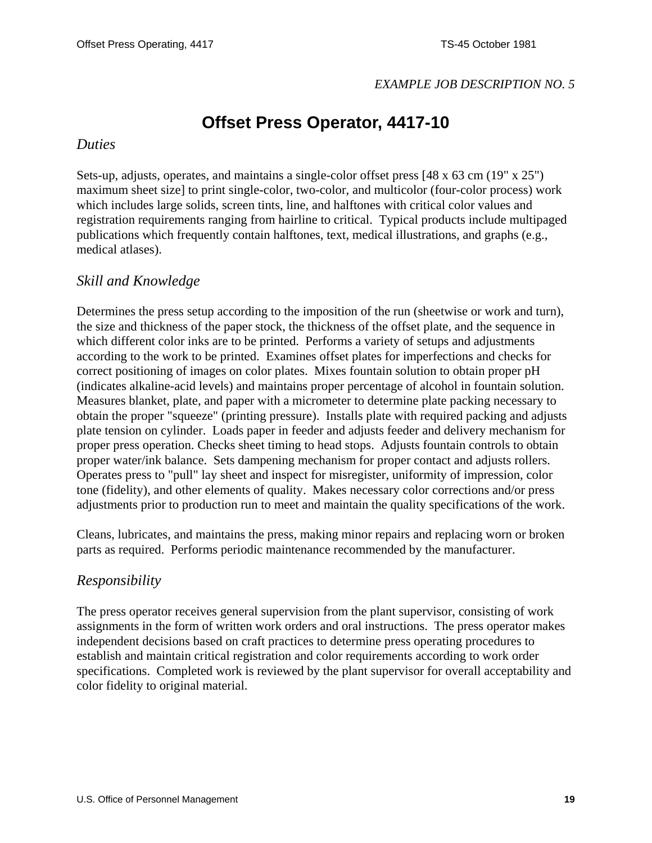#### *EXAMPLE JOB DESCRIPTION NO. 5*

# **Offset Press Operator, 4417-10**

#### <span id="page-18-0"></span>*Duties*

Sets-up, adjusts, operates, and maintains a single-color offset press [48 x 63 cm (19" x 25") maximum sheet size] to print single-color, two-color, and multicolor (four-color process) work which includes large solids, screen tints, line, and halftones with critical color values and registration requirements ranging from hairline to critical. Typical products include multipaged publications which frequently contain halftones, text, medical illustrations, and graphs (e.g., medical atlases).

#### *Skill and Knowledge*

Determines the press setup according to the imposition of the run (sheetwise or work and turn), the size and thickness of the paper stock, the thickness of the offset plate, and the sequence in which different color inks are to be printed. Performs a variety of setups and adjustments according to the work to be printed. Examines offset plates for imperfections and checks for correct positioning of images on color plates. Mixes fountain solution to obtain proper pH (indicates alkaline-acid levels) and maintains proper percentage of alcohol in fountain solution. Measures blanket, plate, and paper with a micrometer to determine plate packing necessary to obtain the proper "squeeze" (printing pressure). Installs plate with required packing and adjusts plate tension on cylinder. Loads paper in feeder and adjusts feeder and delivery mechanism for proper press operation. Checks sheet timing to head stops. Adjusts fountain controls to obtain proper water/ink balance. Sets dampening mechanism for proper contact and adjusts rollers. Operates press to "pull" lay sheet and inspect for misregister, uniformity of impression, color tone (fidelity), and other elements of quality. Makes necessary color corrections and/or press adjustments prior to production run to meet and maintain the quality specifications of the work.

Cleans, lubricates, and maintains the press, making minor repairs and replacing worn or broken parts as required. Performs periodic maintenance recommended by the manufacturer.

#### *Responsibility*

The press operator receives general supervision from the plant supervisor, consisting of work assignments in the form of written work orders and oral instructions. The press operator makes independent decisions based on craft practices to determine press operating procedures to establish and maintain critical registration and color requirements according to work order specifications. Completed work is reviewed by the plant supervisor for overall acceptability and color fidelity to original material.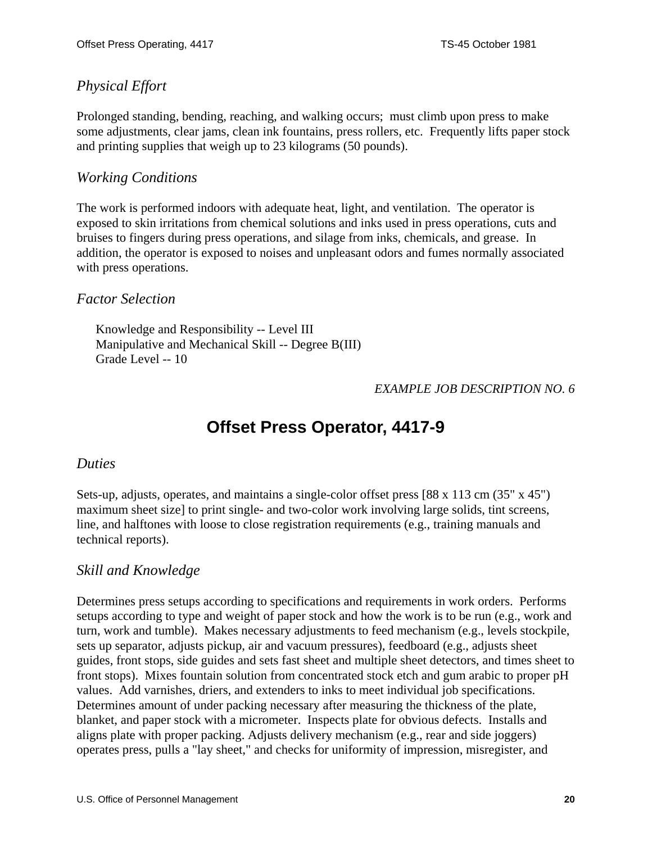# <span id="page-19-0"></span>*Physical Effort*

Prolonged standing, bending, reaching, and walking occurs; must climb upon press to make some adjustments, clear jams, clean ink fountains, press rollers, etc. Frequently lifts paper stock and printing supplies that weigh up to 23 kilograms (50 pounds).

### *Working Conditions*

The work is performed indoors with adequate heat, light, and ventilation. The operator is exposed to skin irritations from chemical solutions and inks used in press operations, cuts and bruises to fingers during press operations, and silage from inks, chemicals, and grease. In addition, the operator is exposed to noises and unpleasant odors and fumes normally associated with press operations.

### *Factor Selection*

Knowledge and Responsibility -- Level III Manipulative and Mechanical Skill -- Degree B(III) Grade Level -- 10

### *EXAMPLE JOB DESCRIPTION NO. 6*

# **Offset Press Operator, 4417-9**

#### *Duties*

Sets-up, adjusts, operates, and maintains a single-color offset press [88 x 113 cm (35" x 45") maximum sheet size] to print single- and two-color work involving large solids, tint screens, line, and halftones with loose to close registration requirements (e.g., training manuals and technical reports).

### *Skill and Knowledge*

Determines press setups according to specifications and requirements in work orders. Performs setups according to type and weight of paper stock and how the work is to be run (e.g., work and turn, work and tumble). Makes necessary adjustments to feed mechanism (e.g., levels stockpile, sets up separator, adjusts pickup, air and vacuum pressures), feedboard (e.g., adjusts sheet guides, front stops, side guides and sets fast sheet and multiple sheet detectors, and times sheet to front stops). Mixes fountain solution from concentrated stock etch and gum arabic to proper pH values. Add varnishes, driers, and extenders to inks to meet individual job specifications. Determines amount of under packing necessary after measuring the thickness of the plate, blanket, and paper stock with a micrometer. Inspects plate for obvious defects. Installs and aligns plate with proper packing. Adjusts delivery mechanism (e.g., rear and side joggers) operates press, pulls a "lay sheet," and checks for uniformity of impression, misregister, and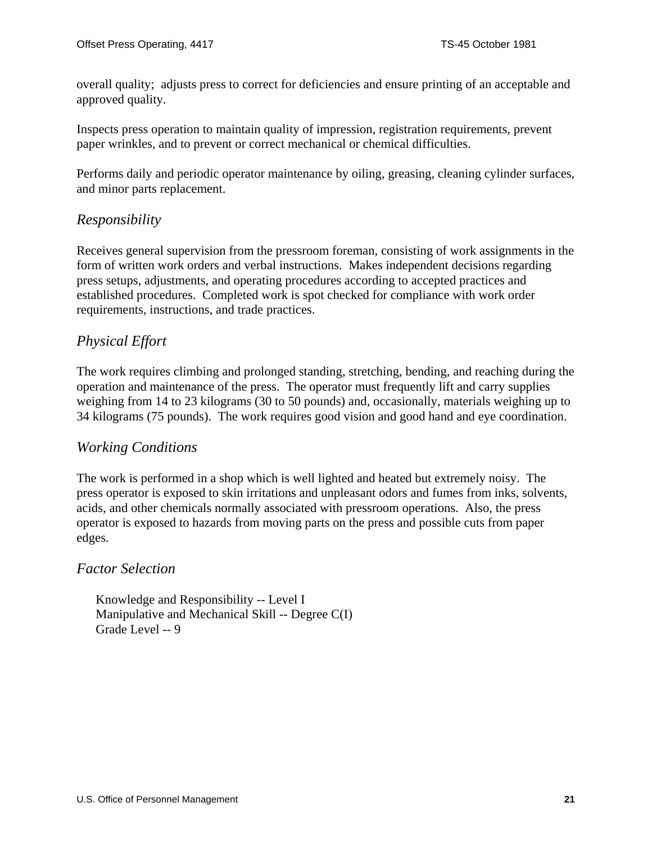overall quality; adjusts press to correct for deficiencies and ensure printing of an acceptable and approved quality.

Inspects press operation to maintain quality of impression, registration requirements, prevent paper wrinkles, and to prevent or correct mechanical or chemical difficulties.

Performs daily and periodic operator maintenance by oiling, greasing, cleaning cylinder surfaces, and minor parts replacement.

### *Responsibility*

Receives general supervision from the pressroom foreman, consisting of work assignments in the form of written work orders and verbal instructions. Makes independent decisions regarding press setups, adjustments, and operating procedures according to accepted practices and established procedures. Completed work is spot checked for compliance with work order requirements, instructions, and trade practices.

# *Physical Effort*

The work requires climbing and prolonged standing, stretching, bending, and reaching during the operation and maintenance of the press. The operator must frequently lift and carry supplies weighing from 14 to 23 kilograms (30 to 50 pounds) and, occasionally, materials weighing up to 34 kilograms (75 pounds). The work requires good vision and good hand and eye coordination.

#### *Working Conditions*

The work is performed in a shop which is well lighted and heated but extremely noisy. The press operator is exposed to skin irritations and unpleasant odors and fumes from inks, solvents, acids, and other chemicals normally associated with pressroom operations. Also, the press operator is exposed to hazards from moving parts on the press and possible cuts from paper edges.

#### *Factor Selection*

Knowledge and Responsibility -- Level I Manipulative and Mechanical Skill -- Degree C(I) Grade Level -- 9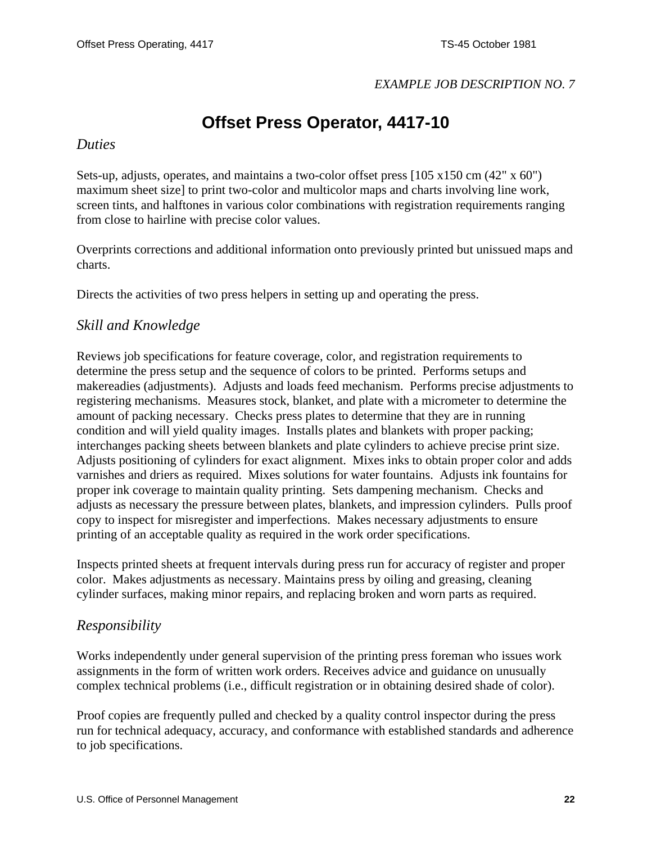#### *EXAMPLE JOB DESCRIPTION NO. 7*

# **Offset Press Operator, 4417-10**

#### <span id="page-21-0"></span>*Duties*

Sets-up, adjusts, operates, and maintains a two-color offset press [105 x150 cm (42" x 60") maximum sheet size] to print two-color and multicolor maps and charts involving line work, screen tints, and halftones in various color combinations with registration requirements ranging from close to hairline with precise color values.

Overprints corrections and additional information onto previously printed but unissued maps and charts.

Directs the activities of two press helpers in setting up and operating the press.

### *Skill and Knowledge*

Reviews job specifications for feature coverage, color, and registration requirements to determine the press setup and the sequence of colors to be printed. Performs setups and makereadies (adjustments). Adjusts and loads feed mechanism. Performs precise adjustments to registering mechanisms. Measures stock, blanket, and plate with a micrometer to determine the amount of packing necessary. Checks press plates to determine that they are in running condition and will yield quality images. Installs plates and blankets with proper packing; interchanges packing sheets between blankets and plate cylinders to achieve precise print size. Adjusts positioning of cylinders for exact alignment. Mixes inks to obtain proper color and adds varnishes and driers as required. Mixes solutions for water fountains. Adjusts ink fountains for proper ink coverage to maintain quality printing. Sets dampening mechanism. Checks and adjusts as necessary the pressure between plates, blankets, and impression cylinders. Pulls proof copy to inspect for misregister and imperfections. Makes necessary adjustments to ensure printing of an acceptable quality as required in the work order specifications.

Inspects printed sheets at frequent intervals during press run for accuracy of register and proper color. Makes adjustments as necessary. Maintains press by oiling and greasing, cleaning cylinder surfaces, making minor repairs, and replacing broken and worn parts as required.

#### *Responsibility*

Works independently under general supervision of the printing press foreman who issues work assignments in the form of written work orders. Receives advice and guidance on unusually complex technical problems (i.e., difficult registration or in obtaining desired shade of color).

Proof copies are frequently pulled and checked by a quality control inspector during the press run for technical adequacy, accuracy, and conformance with established standards and adherence to job specifications.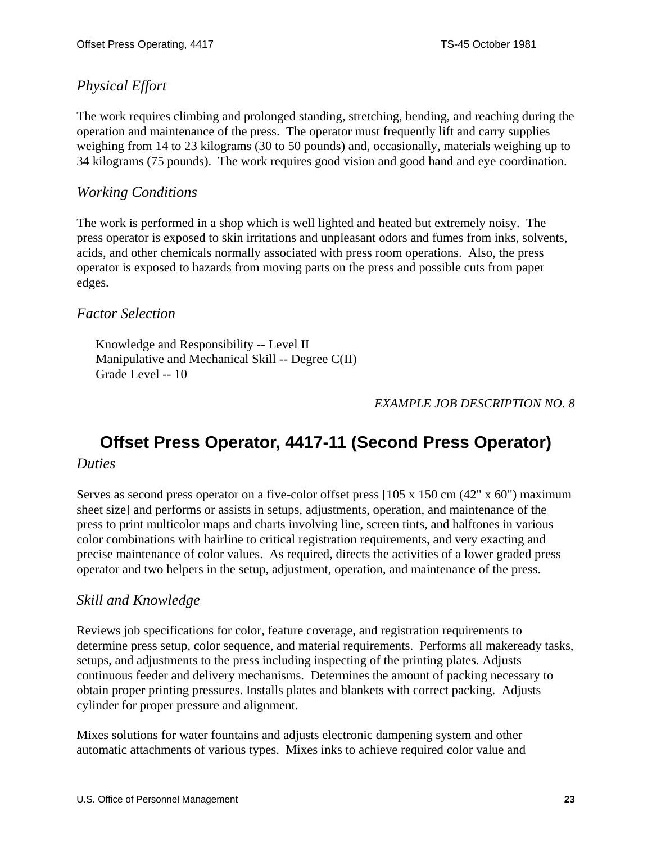# <span id="page-22-0"></span>*Physical Effort*

The work requires climbing and prolonged standing, stretching, bending, and reaching during the operation and maintenance of the press. The operator must frequently lift and carry supplies weighing from 14 to 23 kilograms (30 to 50 pounds) and, occasionally, materials weighing up to 34 kilograms (75 pounds). The work requires good vision and good hand and eye coordination.

### *Working Conditions*

The work is performed in a shop which is well lighted and heated but extremely noisy. The press operator is exposed to skin irritations and unpleasant odors and fumes from inks, solvents, acids, and other chemicals normally associated with press room operations. Also, the press operator is exposed to hazards from moving parts on the press and possible cuts from paper edges.

### *Factor Selection*

Knowledge and Responsibility -- Level II Manipulative and Mechanical Skill -- Degree C(II) Grade Level -- 10

#### *EXAMPLE JOB DESCRIPTION NO. 8*

# **Offset Press Operator, 4417-11 (Second Press Operator)**

#### *Duties*

Serves as second press operator on a five-color offset press [105 x 150 cm (42" x 60") maximum sheet size] and performs or assists in setups, adjustments, operation, and maintenance of the press to print multicolor maps and charts involving line, screen tints, and halftones in various color combinations with hairline to critical registration requirements, and very exacting and precise maintenance of color values. As required, directs the activities of a lower graded press operator and two helpers in the setup, adjustment, operation, and maintenance of the press.

### *Skill and Knowledge*

Reviews job specifications for color, feature coverage, and registration requirements to determine press setup, color sequence, and material requirements. Performs all makeready tasks, setups, and adjustments to the press including inspecting of the printing plates. Adjusts continuous feeder and delivery mechanisms. Determines the amount of packing necessary to obtain proper printing pressures. Installs plates and blankets with correct packing. Adjusts cylinder for proper pressure and alignment.

Mixes solutions for water fountains and adjusts electronic dampening system and other automatic attachments of various types. Mixes inks to achieve required color value and